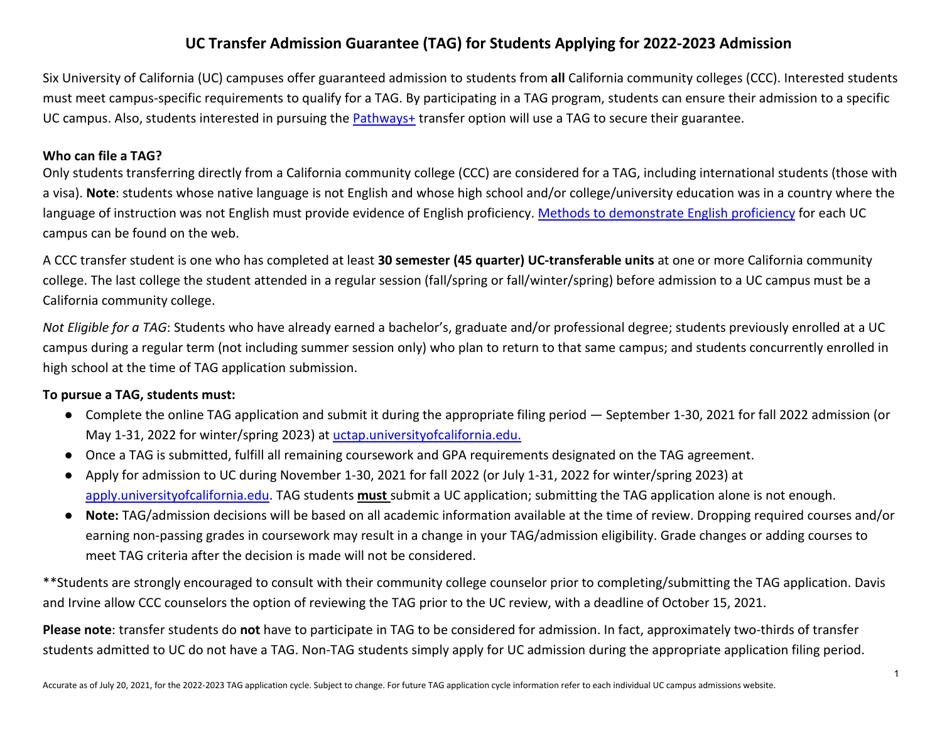Six University of California (UC) campuses offer guaranteed admission to students from **all** California community colleges (CCC). Interested students must meet campus-specific requirements to qualify for a TAG. By participating in a TAG program, students can ensure their admission to a specific UC campus. Also, students interested in pursuing the [Pathways+](https://admission.universityofcalifornia.edu/admission-requirements/transfer-requirements/pathways-plus.html) transfer option will use a TAG to secure their guarantee.

#### **Who can file a TAG?**

Only students transferring directly from a California community college (CCC) are considered for a TAG, including international students (those with a visa). **Note**: students whose native language is not English and whose high school and/or college/university education was in a country where the language of instruction was not English must provide evidence of English proficiency. [Methods to demonstrate English proficiency](https://admission.universityofcalifornia.edu/admission-requirements/international-applicants/english-language-proficiency-toefl-ielts.html) for each UC campus can be found on the web.

A CCC transfer student is one who has completed at least **30 semester (45 quarter) UC-transferable units** at one or more California community college. The last college the student attended in a regular session (fall/spring or fall/winter/spring) before admission to a UC campus must be a California community college.

*Not Eligible for a TAG*: Students who have already earned a bachelor's, graduate and/or professional degree; students previously enrolled at a UC campus during a regular term (not including summer session only) who plan to return to that same campus; and students concurrently enrolled in high school at the time of TAG application submission.

#### **To pursue a TAG, students must:**

- Complete the online TAG application and submit it during the appropriate filing period September 1-30, 2021 for fall 2022 admission (or May 1-31, 2022 for winter/spring 2023) at [uctap.universityofcalifornia.edu.](https://uctap.universityofcalifornia.edu/students/index.cfm)
- Once a TAG is submitted, fulfill all remaining coursework and GPA requirements designated on the TAG agreement.
- Apply for admission to UC during November 1-30, 2021 for fall 2022 (or July 1-31, 2022 for winter/spring 2023) at [apply.universityofcalifornia.edu.](https://apply.universityofcalifornia.edu/my-application/login) TAG students **must** submit a UC application; submitting the TAG application alone is not enough.
- **Note:** TAG/admission decisions will be based on all academic information available at the time of review. Dropping required courses and/or earning non-passing grades in coursework may result in a change in your TAG/admission eligibility. Grade changes or adding courses to meet TAG criteria after the decision is made will not be considered.

\*\*Students are strongly encouraged to consult with their community college counselor prior to completing/submitting the TAG application. Davis and Irvine allow CCC counselors the option of reviewing the TAG prior to the UC review, with a deadline of October 15, 2021.

**Please note**: transfer students do **not** have to participate in TAG to be considered for admission. In fact, approximately two-thirds of transfer students admitted to UC do not have a TAG. Non-TAG students simply apply for UC admission during the appropriate application filing period.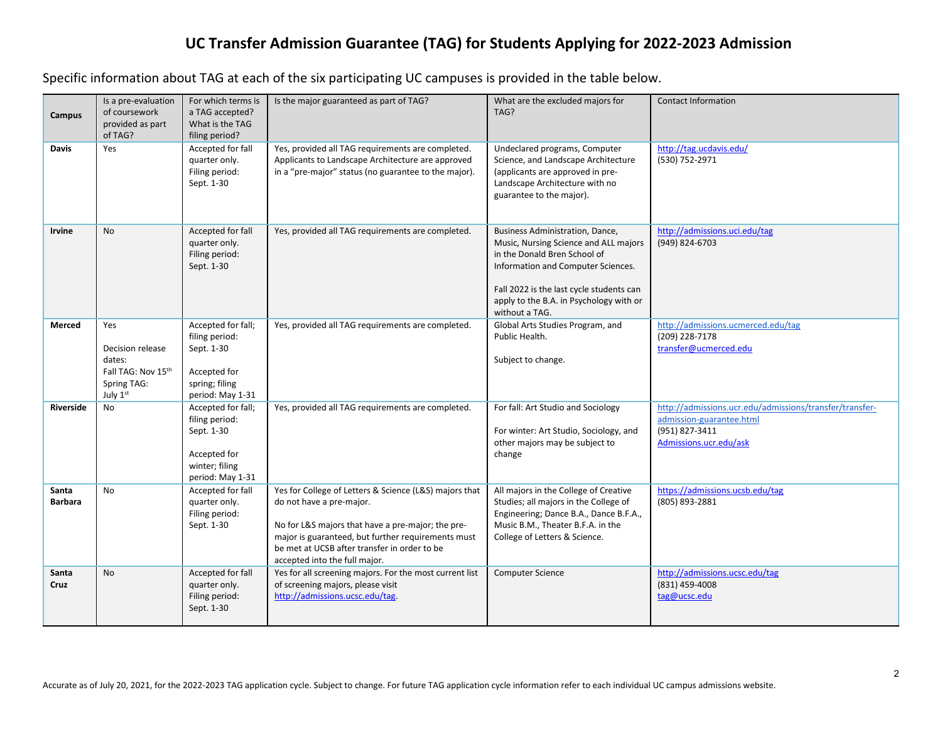Specific information about TAG at each of the six participating UC campuses is provided in the table below.

| Campus                  | Is a pre-evaluation<br>of coursework                                                           | For which terms is<br>a TAG accepted?                                                                    | Is the major guaranteed as part of TAG?                                                                                                                                                                                                                                        | What are the excluded majors for<br>TAG?                                                                                                                                                                                                                | <b>Contact Information</b>                                                                                                      |
|-------------------------|------------------------------------------------------------------------------------------------|----------------------------------------------------------------------------------------------------------|--------------------------------------------------------------------------------------------------------------------------------------------------------------------------------------------------------------------------------------------------------------------------------|---------------------------------------------------------------------------------------------------------------------------------------------------------------------------------------------------------------------------------------------------------|---------------------------------------------------------------------------------------------------------------------------------|
|                         | provided as part<br>of TAG?                                                                    | What is the TAG<br>filing period?                                                                        |                                                                                                                                                                                                                                                                                |                                                                                                                                                                                                                                                         |                                                                                                                                 |
| <b>Davis</b>            | Yes                                                                                            | Accepted for fall<br>quarter only.<br>Filing period:<br>Sept. 1-30                                       | Yes, provided all TAG requirements are completed.<br>Applicants to Landscape Architecture are approved<br>in a "pre-major" status (no guarantee to the major).                                                                                                                 | Undeclared programs, Computer<br>Science, and Landscape Architecture<br>(applicants are approved in pre-<br>Landscape Architecture with no<br>guarantee to the major).                                                                                  | http://tag.ucdavis.edu/<br>(530) 752-2971                                                                                       |
| Irvine                  | <b>No</b>                                                                                      | Accepted for fall<br>quarter only.<br>Filing period:<br>Sept. 1-30                                       | Yes, provided all TAG requirements are completed.                                                                                                                                                                                                                              | Business Administration, Dance,<br>Music, Nursing Science and ALL majors<br>in the Donald Bren School of<br>Information and Computer Sciences.<br>Fall 2022 is the last cycle students can<br>apply to the B.A. in Psychology with or<br>without a TAG. | http://admissions.uci.edu/tag<br>(949) 824-6703                                                                                 |
| Merced                  | Yes<br>Decision release<br>dates:<br>Fall TAG: Nov 15th<br>Spring TAG:<br>July $1^{\text{st}}$ | Accepted for fall;<br>filing period:<br>Sept. 1-30<br>Accepted for<br>spring; filing<br>period: May 1-31 | Yes, provided all TAG requirements are completed.                                                                                                                                                                                                                              | Global Arts Studies Program, and<br>Public Health.<br>Subject to change.                                                                                                                                                                                | http://admissions.ucmerced.edu/tag<br>(209) 228-7178<br>transfer@ucmerced.edu                                                   |
| <b>Riverside</b>        | No                                                                                             | Accepted for fall;<br>filing period:<br>Sept. 1-30<br>Accepted for<br>winter; filing<br>period: May 1-31 | Yes, provided all TAG requirements are completed.                                                                                                                                                                                                                              | For fall: Art Studio and Sociology<br>For winter: Art Studio, Sociology, and<br>other majors may be subject to<br>change                                                                                                                                | http://admissions.ucr.edu/admissions/transfer/transfer-<br>admission-guarantee.html<br>(951) 827-3411<br>Admissions.ucr.edu/ask |
| Santa<br><b>Barbara</b> | <b>No</b>                                                                                      | Accepted for fall<br>quarter only.<br>Filing period:<br>Sept. 1-30                                       | Yes for College of Letters & Science (L&S) majors that<br>do not have a pre-major.<br>No for L&S majors that have a pre-major; the pre-<br>major is guaranteed, but further requirements must<br>be met at UCSB after transfer in order to be<br>accepted into the full major. | All majors in the College of Creative<br>Studies; all majors in the College of<br>Engineering; Dance B.A., Dance B.F.A.,<br>Music B.M., Theater B.F.A. in the<br>College of Letters & Science.                                                          | https://admissions.ucsb.edu/tag<br>(805) 893-2881                                                                               |
| Santa<br>Cruz           | <b>No</b>                                                                                      | Accepted for fall<br>quarter only.<br>Filing period:<br>Sept. 1-30                                       | Yes for all screening majors. For the most current list<br>of screening majors, please visit<br>http://admissions.ucsc.edu/tag.                                                                                                                                                | Computer Science                                                                                                                                                                                                                                        | http://admissions.ucsc.edu/tag<br>(831) 459-4008<br>tag@ucsc.edu                                                                |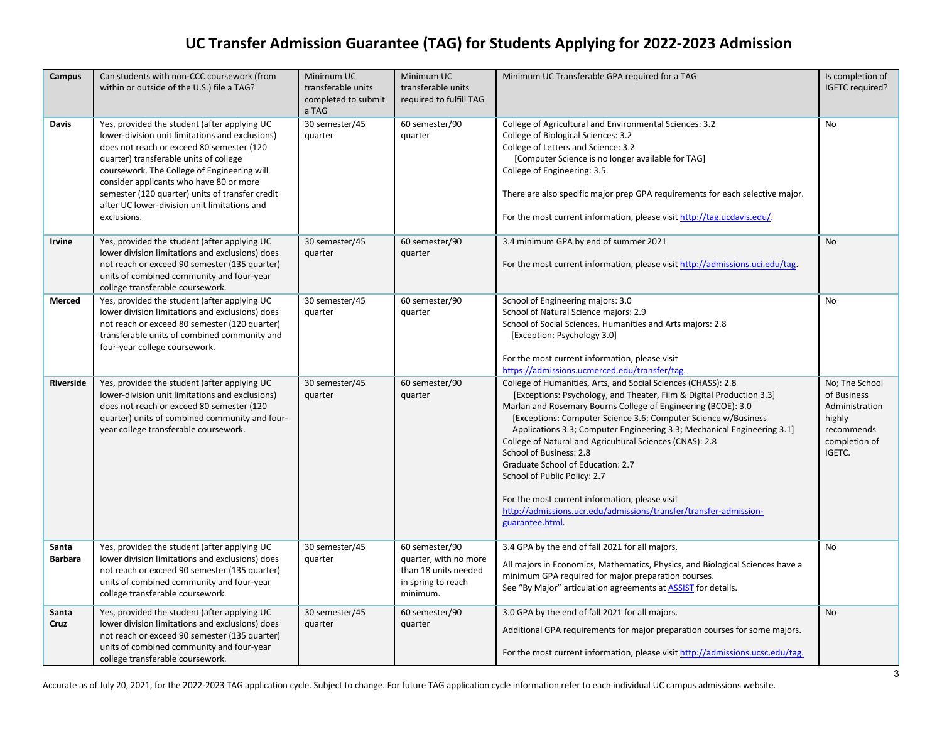| <b>Campus</b>           | Can students with non-CCC coursework (from<br>within or outside of the U.S.) file a TAG?                                                                                                                                                                                                                                                                                                           | Minimum UC<br>transferable units<br>completed to submit<br>a TAG | Minimum UC<br>transferable units<br>required to fulfill TAG                                       | Minimum UC Transferable GPA required for a TAG                                                                                                                                                                                                                                                                                                                                                                                                                                                                                                                                                                                                            | Is completion of<br>IGETC required?                                                                |
|-------------------------|----------------------------------------------------------------------------------------------------------------------------------------------------------------------------------------------------------------------------------------------------------------------------------------------------------------------------------------------------------------------------------------------------|------------------------------------------------------------------|---------------------------------------------------------------------------------------------------|-----------------------------------------------------------------------------------------------------------------------------------------------------------------------------------------------------------------------------------------------------------------------------------------------------------------------------------------------------------------------------------------------------------------------------------------------------------------------------------------------------------------------------------------------------------------------------------------------------------------------------------------------------------|----------------------------------------------------------------------------------------------------|
| Davis                   | Yes, provided the student (after applying UC<br>lower-division unit limitations and exclusions)<br>does not reach or exceed 80 semester (120<br>quarter) transferable units of college<br>coursework. The College of Engineering will<br>consider applicants who have 80 or more<br>semester (120 quarter) units of transfer credit<br>after UC lower-division unit limitations and<br>exclusions. | 30 semester/45<br>quarter                                        | 60 semester/90<br>quarter                                                                         | College of Agricultural and Environmental Sciences: 3.2<br>College of Biological Sciences: 3.2<br>College of Letters and Science: 3.2<br>[Computer Science is no longer available for TAG]<br>College of Engineering: 3.5.<br>There are also specific major prep GPA requirements for each selective major.<br>For the most current information, please visit http://tag.ucdavis.edu/.                                                                                                                                                                                                                                                                    | <b>No</b>                                                                                          |
| Irvine                  | Yes, provided the student (after applying UC<br>lower division limitations and exclusions) does<br>not reach or exceed 90 semester (135 quarter)<br>units of combined community and four-year<br>college transferable coursework.                                                                                                                                                                  | 30 semester/45<br>quarter                                        | 60 semester/90<br>quarter                                                                         | 3.4 minimum GPA by end of summer 2021<br>For the most current information, please visit http://admissions.uci.edu/tag.                                                                                                                                                                                                                                                                                                                                                                                                                                                                                                                                    | No                                                                                                 |
| Merced                  | Yes, provided the student (after applying UC<br>lower division limitations and exclusions) does<br>not reach or exceed 80 semester (120 quarter)<br>transferable units of combined community and<br>four-year college coursework.                                                                                                                                                                  | 30 semester/45<br>quarter                                        | 60 semester/90<br>quarter                                                                         | School of Engineering majors: 3.0<br>School of Natural Science majors: 2.9<br>School of Social Sciences, Humanities and Arts majors: 2.8<br>[Exception: Psychology 3.0]<br>For the most current information, please visit<br>https://admissions.ucmerced.edu/transfer/tag.                                                                                                                                                                                                                                                                                                                                                                                | No                                                                                                 |
| Riverside               | Yes, provided the student (after applying UC<br>lower-division unit limitations and exclusions)<br>does not reach or exceed 80 semester (120<br>quarter) units of combined community and four-<br>year college transferable coursework.                                                                                                                                                            | 30 semester/45<br>quarter                                        | 60 semester/90<br>quarter                                                                         | College of Humanities, Arts, and Social Sciences (CHASS): 2.8<br>[Exceptions: Psychology, and Theater, Film & Digital Production 3.3]<br>Marlan and Rosemary Bourns College of Engineering (BCOE): 3.0<br>[Exceptions: Computer Science 3.6; Computer Science w/Business<br>Applications 3.3; Computer Engineering 3.3; Mechanical Engineering 3.1]<br>College of Natural and Agricultural Sciences (CNAS): 2.8<br>School of Business: 2.8<br>Graduate School of Education: 2.7<br>School of Public Policy: 2.7<br>For the most current information, please visit<br>http://admissions.ucr.edu/admissions/transfer/transfer-admission-<br>guarantee.html. | No; The School<br>of Business<br>Administration<br>highly<br>recommends<br>completion of<br>IGETC. |
| Santa<br><b>Barbara</b> | Yes, provided the student (after applying UC<br>lower division limitations and exclusions) does<br>not reach or exceed 90 semester (135 quarter)<br>units of combined community and four-year<br>college transferable coursework.                                                                                                                                                                  | 30 semester/45<br>quarter                                        | 60 semester/90<br>quarter, with no more<br>than 18 units needed<br>in spring to reach<br>minimum. | 3.4 GPA by the end of fall 2021 for all majors.<br>All majors in Economics, Mathematics, Physics, and Biological Sciences have a<br>minimum GPA required for major preparation courses.<br>See "By Major" articulation agreements at <b>ASSIST</b> for details.                                                                                                                                                                                                                                                                                                                                                                                           | No                                                                                                 |
| Santa<br>Cruz           | Yes, provided the student (after applying UC<br>lower division limitations and exclusions) does<br>not reach or exceed 90 semester (135 quarter)<br>units of combined community and four-year<br>college transferable coursework.                                                                                                                                                                  | 30 semester/45<br>quarter                                        | 60 semester/90<br>quarter                                                                         | 3.0 GPA by the end of fall 2021 for all majors.<br>Additional GPA requirements for major preparation courses for some majors.<br>For the most current information, please visit http://admissions.ucsc.edu/tag.                                                                                                                                                                                                                                                                                                                                                                                                                                           | No                                                                                                 |